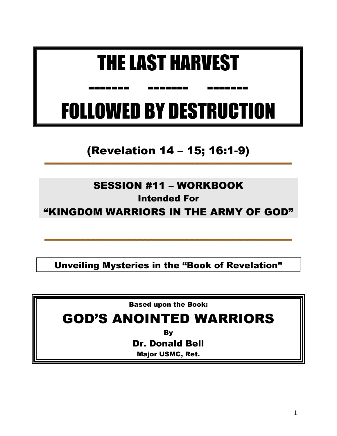# THE LAST HARVEST

------- ------- -------

# FOLLOWED BY DESTRUCTION

(Revelation 14 – 15; 16:1-9)

## SESSION #11 – WORKBOOK

## Intended For

"KINGDOM WARRIORS IN THE ARMY OF GOD"

Unveiling Mysteries in the "Book of Revelation"

Based upon the Book:

## GOD'S ANOINTED WARRIORS

By

Dr. Donald Bell

Major USMC, Ret.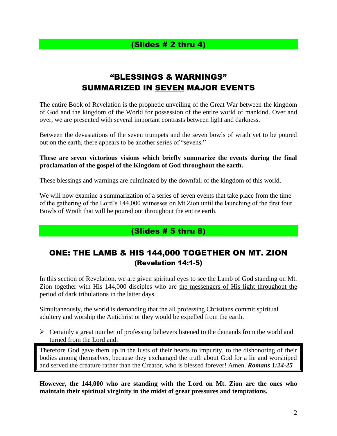### (Slides # 2 thru 4)

## "BLESSINGS & WARNINGS" SUMMARIZED IN SEVEN MAJOR EVENTS

The entire Book of Revelation is the prophetic unveiling of the Great War between the kingdom of God and the kingdom of the World for possession of the entire world of mankind. Over and over, we are presented with several important contrasts between light and darkness.

Between the devastations of the seven trumpets and the seven bowls of wrath yet to be poured out on the earth, there appears to be another series of "sevens."

#### **These are seven victorious visions which briefly summarize the events during the final proclamation of the gospel of the Kingdom of God throughout the earth.**

These blessings and warnings are culminated by the downfall of the kingdom of this world.

We will now examine a summarization of a series of seven events that take place from the time of the gathering of the Lord's 144,000 witnesses on Mt Zion until the launching of the first four Bowls of Wrath that will be poured out throughout the entire earth.

### (Slides # 5 thru 8)

## ONE: THE LAMB & HIS 144,000 TOGETHER ON MT. ZION (Revelation 14:1-5)

In this section of Revelation, we are given spiritual eyes to see the Lamb of God standing on Mt. Zion together with His 144,000 disciples who are the messengers of His light throughout the period of dark tribulations in the latter days.

Simultaneously, the world is demanding that the all professing Christians commit spiritual adultery and worship the Antichrist or they would be expelled from the earth.

➢ Certainly a great number of professing believers listened to the demands from the world and turned from the Lord and:

Therefore God gave them up in the lusts of their hearts to impurity, to the dishonoring of their bodies among themselves, because they exchanged the truth about God for a lie and worshiped and served the creature rather than the Creator, who is blessed forever! Amen. *Romans 1:24-25*

**However, the 144,000 who are standing with the Lord on Mt. Zion are the ones who maintain their spiritual virginity in the midst of great pressures and temptations.**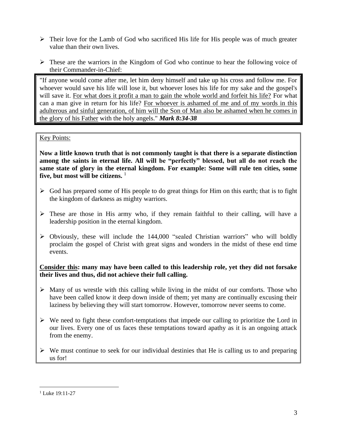- ➢ Their love for the Lamb of God who sacrificed His life for His people was of much greater value than their own lives.
- ➢ These are the warriors in the Kingdom of God who continue to hear the following voice of their Commander-in-Chief:

"If anyone would come after me, let him deny himself and take up his cross and follow me. For whoever would save his life will lose it, but whoever loses his life for my sake and the gospel's will save it. For what does it profit a man to gain the whole world and forfeit his life? For what can a man give in return for his life? For whoever is ashamed of me and of my words in this adulterous and sinful generation, of him will the Son of Man also be ashamed when he comes in the glory of his Father with the holy angels." *Mark 8:34-38*

#### Key Points:

**Now a little known truth that is not commonly taught is that there is a separate distinction among the saints in eternal life. All will be "perfectly" blessed, but all do not reach the same state of glory in the eternal kingdom. For example: Some will rule ten cities, some**  five, but most will be citizens.<sup>1</sup>

- $\triangleright$  God has prepared some of His people to do great things for Him on this earth; that is to fight the kingdom of darkness as mighty warriors.
- $\triangleright$  These are those in His army who, if they remain faithful to their calling, will have a leadership position in the eternal kingdom.
- $\triangleright$  Obviously, these will include the 144,000 "sealed Christian warriors" who will boldly proclaim the gospel of Christ with great signs and wonders in the midst of these end time events.

#### **Consider this: many may have been called to this leadership role, yet they did not forsake their lives and thus, did not achieve their full calling.**

- $\triangleright$  Many of us wrestle with this calling while living in the midst of our comforts. Those who have been called know it deep down inside of them; yet many are continually excusing their laziness by believing they will start tomorrow. However, tomorrow never seems to come.
- $\triangleright$  We need to fight these comfort-temptations that impede our calling to prioritize the Lord in our lives. Every one of us faces these temptations toward apathy as it is an ongoing attack from the enemy.
- $\triangleright$  We must continue to seek for our individual destinies that He is calling us to and preparing us for!

<sup>&</sup>lt;sup>1</sup> Luke 19:11-27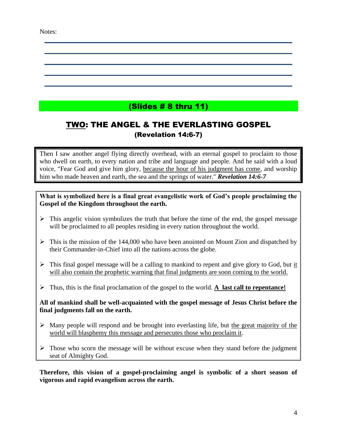#### Notes:

## (Slides # 8 thru 11)

## TWO: THE ANGEL & THE EVERLASTING GOSPEL (Revelation 14:6-7)

Then I saw another angel flying directly overhead, with an eternal gospel to proclaim to those who dwell on earth, to every nation and tribe and language and people. And he said with a loud voice, "Fear God and give him glory, because the hour of his judgment has come, and worship him who made heaven and earth, the sea and the springs of water." *Revelation 14:6-7*

**What is symbolized here is a final great evangelistic work of God's people proclaiming the Gospel of the Kingdom throughout the earth.** 

- $\triangleright$  This angelic vision symbolizes the truth that before the time of the end, the gospel message will be proclaimed to all peoples residing in every nation throughout the world.
- ➢ This is the mission of the 144,000 who have been anointed on Mount Zion and dispatched by their Commander-in-Chief into all the nations across the globe.
- $\triangleright$  This final gospel message will be a calling to mankind to repent and give glory to God, but it will also contain the prophetic warning that final judgments are soon coming to the world.
- ➢ Thus, this is the final proclamation of the gospel to the world. **A last call to repentance!**

**All of mankind shall be well-acquainted with the gospel message of Jesus Christ before the final judgments fall on the earth.** 

- $\triangleright$  Many people will respond and be brought into everlasting life, but the great majority of the world will blasphemy this message and persecutes those who proclaim it.
- $\triangleright$  Those who scorn the message will be without excuse when they stand before the judgment seat of Almighty God.

**Therefore, this vision of a gospel-proclaiming angel is symbolic of a short season of vigorous and rapid evangelism across the earth.**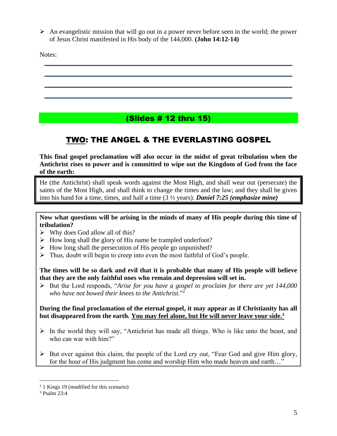$\triangleright$  An evangelistic mission that will go out in a power never before seen in the world; the power of Jesus Christ manifested in His body of the 144,000. **(John 14:12-14)**

Notes:

## (Slides # 12 thru 15)

## TWO: THE ANGEL & THE EVERLASTING GOSPEL

**This final gospel proclamation will also occur in the midst of great tribulation when the Antichrist rises to power and is committed to wipe out the Kingdom of God from the face of the earth:**

He (the Antichrist) shall speak words against the Most High, and shall wear out (persecute) the saints of the Most High, and shall think to change the times and the law; and they shall be given into his hand for a time, times, and half a time (3 ½ years). *Daniel 7:25 (emphasize mine)*

**Now what questions will be arising in the minds of many of His people during this time of tribulation?** 

- $\triangleright$  Why does God allow all of this?
- ➢ How long shall the glory of His name be trampled underfoot?
- $\triangleright$  How long shall the persecution of His people go unpunished?
- $\triangleright$  Thus, doubt will begin to creep into even the most faithful of God's people.

**The times will be so dark and evil that it is probable that many of His people will believe that they are the only faithful ones who remain and depression will set in.**

➢ But the Lord responds, "*Arise for you have a gospel to proclaim for there are yet 144,000 who have not bowed their knees to the Antichrist*."<sup>2</sup>

**During the final proclamation of the eternal gospel, it may appear as if Christianity has all but disappeared from the earth. You may feel alone, but He will never leave your side.<sup>3</sup>**

- $\triangleright$  In the world they will say, "Antichrist has made all things. Who is like unto the beast, and who can war with him?"
- ➢ But over against this claim, the people of the Lord cry out, "Fear God and give Him glory, for the hour of His judgment has come and worship Him who made heaven and earth…"

<sup>2</sup> 1 Kings 19 (modified for this scenario)

<sup>3</sup> Psalm 23:4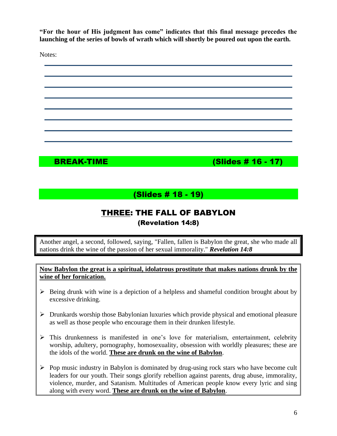**"For the hour of His judgment has come" indicates that this final message precedes the launching of the series of bowls of wrath which will shortly be poured out upon the earth.**

Notes:



BREAK-TIME (Slides # 16 - 17)

## (Slides # 18 - 19)

## THREE: THE FALL OF BABYLON (Revelation 14:8)

Another angel, a second, followed, saying, "Fallen, fallen is Babylon the great, she who made all nations drink the wine of the passion of her sexual immorality." *Revelation 14:8*

**Now Babylon the great is a spiritual, idolatrous prostitute that makes nations drunk by the wine of her fornication.** 

- $\triangleright$  Being drunk with wine is a depiction of a helpless and shameful condition brought about by excessive drinking.
- ➢ Drunkards worship those Babylonian luxuries which provide physical and emotional pleasure as well as those people who encourage them in their drunken lifestyle.
- ➢ This drunkenness is manifested in one's love for materialism, entertainment, celebrity worship, adultery, pornography, homosexuality, obsession with worldly pleasures; these are the idols of the world. **These are drunk on the wine of Babylon**.
- $\triangleright$  Pop music industry in Babylon is dominated by drug-using rock stars who have become cult leaders for our youth. Their songs glorify rebellion against parents, drug abuse, immorality, violence, murder, and Satanism. Multitudes of American people know every lyric and sing along with every word. **These are drunk on the wine of Babylon**.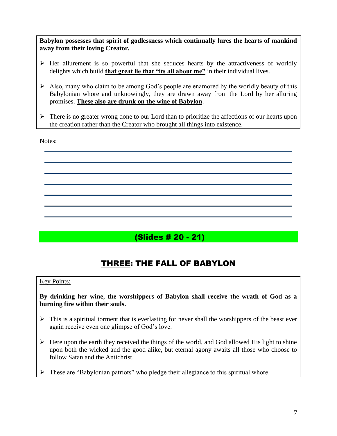**Babylon possesses that spirit of godlessness which continually lures the hearts of mankind away from their loving Creator.** 

- ➢ Her allurement is so powerful that she seduces hearts by the attractiveness of worldly delights which build **that great lie that "its all about me"** in their individual lives.
- $\triangleright$  Also, many who claim to be among God's people are enamored by the worldly beauty of this Babylonian whore and unknowingly, they are drawn away from the Lord by her alluring promises. **These also are drunk on the wine of Babylon**.
- $\triangleright$  There is no greater wrong done to our Lord than to prioritize the affections of our hearts upon the creation rather than the Creator who brought all things into existence.

Notes:

(Slides # 20 - 21)

## THREE: THE FALL OF BABYLON

#### Key Points:

**By drinking her wine, the worshippers of Babylon shall receive the wrath of God as a burning fire within their souls.**

- $\triangleright$  This is a spiritual torment that is everlasting for never shall the worshippers of the beast ever again receive even one glimpse of God's love.
- $\triangleright$  Here upon the earth they received the things of the world, and God allowed His light to shine upon both the wicked and the good alike, but eternal agony awaits all those who choose to follow Satan and the Antichrist.
- These are "Babylonian patriots" who pledge their allegiance to this spiritual whore.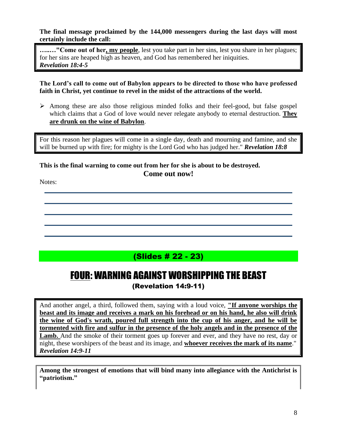**The final message proclaimed by the 144,000 messengers during the last days will most certainly include the call:**

**…..…"Come out of her, my people**, lest you take part in her sins, lest you share in her plagues; for her sins are heaped high as heaven, and God has remembered her iniquities. *Revelation 18:4-5*

**The Lord's call to come out of Babylon appears to be directed to those who have professed faith in Christ, yet continue to revel in the midst of the attractions of the world.** 

➢ Among these are also those religious minded folks and their feel-good, but false gospel which claims that a God of love would never relegate anybody to eternal destruction. **They are drunk on the wine of Babylon**.

For this reason her plagues will come in a single day, death and mourning and famine, and she will be burned up with fire; for mighty is the Lord God who has judged her." *Revelation 18:8*

#### **This is the final warning to come out from her for she is about to be destroyed. Come out now!**

Notes:

## (Slides # 22 - 23)

## FOUR: WARNING AGAINST WORSHIPPING THE BEAST

(Revelation 14:9-11)

And another angel, a third, followed them, saying with a loud voice, **"If anyone worships the beast and its image and receives a mark on his forehead or on his hand, he also will drink the wine of God's wrath, poured full strength into the cup of his anger, and he will be tormented with fire and sulfur in the presence of the holy angels and in the presence of the**  Lamb. And the smoke of their torment goes up forever and ever, and they have no rest, day or night, these worshipers of the beast and its image, and **whoever receives the mark of its name**." *Revelation 14:9-11*

**Among the strongest of emotions that will bind many into allegiance with the Antichrist is "patriotism."**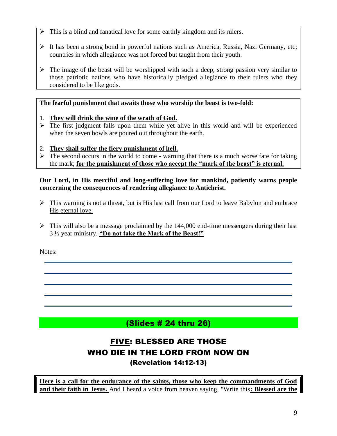- ➢ This is a blind and fanatical love for some earthly kingdom and its rulers.
- ➢ It has been a strong bond in powerful nations such as America, Russia, Nazi Germany, etc; countries in which allegiance was not forced but taught from their youth.
- $\triangleright$  The image of the beast will be worshipped with such a deep, strong passion very similar to those patriotic nations who have historically pledged allegiance to their rulers who they considered to be like gods.

#### **The fearful punishment that awaits those who worship the beast is two-fold:**

- 1. **They will drink the wine of the wrath of God.**
- $\triangleright$  The first judgment falls upon them while yet alive in this world and will be experienced when the seven bowls are poured out throughout the earth.
- 2. **They shall suffer the fiery punishment of hell.**
- $\triangleright$  The second occurs in the world to come warning that there is a much worse fate for taking the mark; **for the punishment of those who accept the "mark of the beast" is eternal.**

#### **Our Lord, in His merciful and long-suffering love for mankind, patiently warns people concerning the consequences of rendering allegiance to Antichrist.**

- ➢ This warning is not a threat, but is His last call from our Lord to leave Babylon and embrace His eternal love.
- $\triangleright$  This will also be a message proclaimed by the 144,000 end-time messengers during their last 3 ½ year ministry. **"Do not take the Mark of the Beast!"**

Notes:

## (Slides # 24 thru 26)

## FIVE: BLESSED ARE THOSE WHO DIE IN THE LORD FROM NOW ON

(Revelation 14:12-13)

**Here is a call for the endurance of the saints, those who keep the commandments of God and their faith in Jesus.** And I heard a voice from heaven saying, "Write this**: Blessed are the**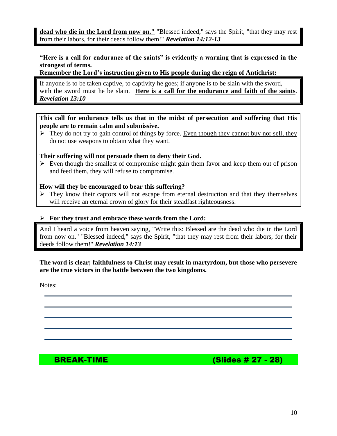**dead who die in the Lord from now on."** "Blessed indeed," says the Spirit, "that they may rest from their labors, for their deeds follow them!" *Revelation 14:12-13*

#### **"Here is a call for endurance of the saints" is evidently a warning that is expressed in the strongest of terms.**

#### **Remember the Lord's instruction given to His people during the reign of Antichrist:**

If anyone is to be taken captive, to captivity he goes; if anyone is to be slain with the sword, with the sword must he be slain. **Here is a call for the endurance and faith of the saints**. *Revelation 13:10* 

**This call for endurance tells us that in the midst of persecution and suffering that His people are to remain calm and submissive.** 

 $\triangleright$  They do not try to gain control of things by force. Even though they cannot buy nor sell, they do not use weapons to obtain what they want.

#### **Their suffering will not persuade them to deny their God.**

 $\triangleright$  Even though the smallest of compromise might gain them favor and keep them out of prison and feed them, they will refuse to compromise.

#### **How will they be encouraged to bear this suffering?**

 $\triangleright$  They know their captors will not escape from eternal destruction and that they themselves will receive an eternal crown of glory for their steadfast righteousness.

#### ➢ **For they trust and embrace these words from the Lord:**

And I heard a voice from heaven saying, "Write this: Blessed are the dead who die in the Lord from now on." "Blessed indeed," says the Spirit, "that they may rest from their labors, for their deeds follow them!" *Revelation 14:13*

**The word is clear; faithfulness to Christ may result in martyrdom, but those who persevere are the true victors in the battle between the two kingdoms.** 

Notes:

BREAK-TIME (Slides # 27 - 28)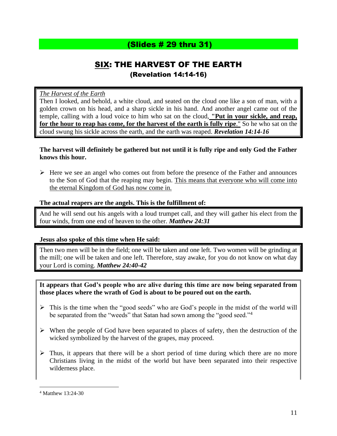## (Slides # 29 thru 31)

## SIX: THE HARVEST OF THE EARTH (Revelation 14:14-16)

#### *The Harvest of the Earth*

Then I looked, and behold, a white cloud, and seated on the cloud one like a son of man, with a golden crown on his head, and a sharp sickle in his hand. And another angel came out of the temple, calling with a loud voice to him who sat on the cloud, **"Put in your sickle, and reap, for the hour to reap has come, for the harvest of the earth is fully ripe**." So he who sat on the cloud swung his sickle across the earth, and the earth was reaped. *Revelation 14:14-16*

#### **The harvest will definitely be gathered but not until it is fully ripe and only God the Father knows this hour.**

➢ Here we see an angel who comes out from before the presence of the Father and announces to the Son of God that the reaping may begin. This means that everyone who will come into the eternal Kingdom of God has now come in.

#### **The actual reapers are the angels. This is the fulfillment of:**

And he will send out his angels with a loud trumpet call, and they will gather his elect from the four winds, from one end of heaven to the other. *Matthew 24:31*

#### **Jesus also spoke of this time when He said:**

Then two men will be in the field; one will be taken and one left. Two women will be grinding at the mill; one will be taken and one left. Therefore, stay awake, for you do not know on what day your Lord is coming. *Matthew 24:40-42*

#### **It appears that God's people who are alive during this time are now being separated from those places where the wrath of God is about to be poured out on the earth.**

- $\triangleright$  This is the time when the "good seeds" who are God's people in the midst of the world will be separated from the "weeds" that Satan had sown among the "good seed."<sup>4</sup>
- ➢ When the people of God have been separated to places of safety, then the destruction of the wicked symbolized by the harvest of the grapes, may proceed.
- $\triangleright$  Thus, it appears that there will be a short period of time during which there are no more Christians living in the midst of the world but have been separated into their respective wilderness place.

<sup>4</sup> Matthew 13:24-30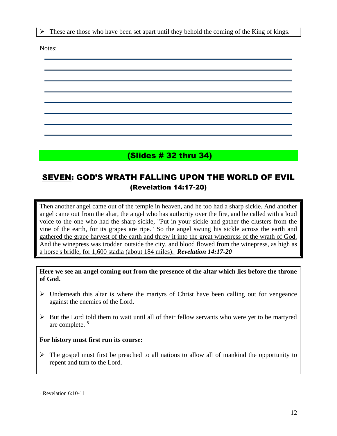$\triangleright$  These are those who have been set apart until they behold the coming of the King of kings.

Notes:



## SEVEN: GOD'S WRATH FALLING UPON THE WORLD OF EVIL (Revelation 14:17-20)

Then another angel came out of the temple in heaven, and he too had a sharp sickle. And another angel came out from the altar, the angel who has authority over the fire, and he called with a loud voice to the one who had the sharp sickle, "Put in your sickle and gather the clusters from the vine of the earth, for its grapes are ripe." So the angel swung his sickle across the earth and gathered the grape harvest of the earth and threw it into the great winepress of the wrath of God. And the winepress was trodden outside the city, and blood flowed from the winepress, as high as a horse's bridle, for 1,600 stadia (about 184 miles). *Revelation 14:17-20*

**Here we see an angel coming out from the presence of the altar which lies before the throne of God.** 

- $\triangleright$  Underneath this altar is where the martyrs of Christ have been calling out for vengeance against the enemies of the Lord.
- ➢ But the Lord told them to wait until all of their fellow servants who were yet to be martyred are complete. <sup>5</sup>

#### **For history must first run its course:**

 $\triangleright$  The gospel must first be preached to all nations to allow all of mankind the opportunity to repent and turn to the Lord.

<sup>5</sup> Revelation 6:10-11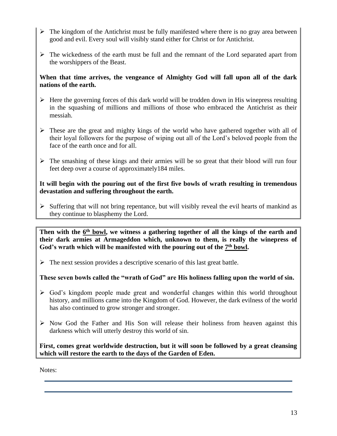- $\triangleright$  The kingdom of the Antichrist must be fully manifested where there is no gray area between good and evil. Every soul will visibly stand either for Christ or for Antichrist.
- ➢ The wickedness of the earth must be full and the remnant of the Lord separated apart from the worshippers of the Beast.

#### **When that time arrives, the vengeance of Almighty God will fall upon all of the dark nations of the earth.**

- $\triangleright$  Here the governing forces of this dark world will be trodden down in His winepress resulting in the squashing of millions and millions of those who embraced the Antichrist as their messiah.
- $\triangleright$  These are the great and mighty kings of the world who have gathered together with all of their loyal followers for the purpose of wiping out all of the Lord's beloved people from the face of the earth once and for all.
- ➢ The smashing of these kings and their armies will be so great that their blood will run four feet deep over a course of approximately184 miles.

#### **It will begin with the pouring out of the first five bowls of wrath resulting in tremendous devastation and suffering throughout the earth.**

 $\triangleright$  Suffering that will not bring repentance, but will visibly reveal the evil hearts of mankind as they continue to blasphemy the Lord.

Then with the  $6<sup>th</sup>$  bowl, we witness a gathering together of all the kings of the earth and **their dark armies at Armageddon which, unknown to them, is really the winepress of**  God's wrath which will be manifested with the pouring out of the  $7<sup>th</sup>$  bowl.

 $\triangleright$  The next session provides a descriptive scenario of this last great battle.

#### **These seven bowls called the "wrath of God" are His holiness falling upon the world of sin.**

- ➢ God's kingdom people made great and wonderful changes within this world throughout history, and millions came into the Kingdom of God. However, the dark evilness of the world has also continued to grow stronger and stronger.
- $\triangleright$  Now God the Father and His Son will release their holiness from heaven against this darkness which will utterly destroy this world of sin.

**First, comes great worldwide destruction, but it will soon be followed by a great cleansing which will restore the earth to the days of the Garden of Eden.**

Notes: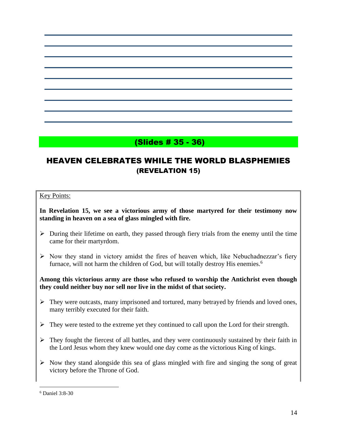## (Slides # 35 - 36)

## HEAVEN CELEBRATES WHILE THE WORLD BLASPHEMIES (REVELATION 15)

#### Key Points:

**In Revelation 15, we see a victorious army of those martyred for their testimony now standing in heaven on a sea of glass mingled with fire.** 

- $\triangleright$  During their lifetime on earth, they passed through fiery trials from the enemy until the time came for their martyrdom.
- ➢ Now they stand in victory amidst the fires of heaven which, like Nebuchadnezzar's fiery furnace, will not harm the children of God, but will totally destroy His enemies.<sup>6</sup>

#### **Among this victorious army are those who refused to worship the Antichrist even though they could neither buy nor sell nor live in the midst of that society.**

- $\triangleright$  They were outcasts, many imprisoned and tortured, many betrayed by friends and loved ones, many terribly executed for their faith.
- $\triangleright$  They were tested to the extreme yet they continued to call upon the Lord for their strength.
- $\triangleright$  They fought the fiercest of all battles, and they were continuously sustained by their faith in the Lord Jesus whom they knew would one day come as the victorious King of kings.
- $\triangleright$  Now they stand alongside this sea of glass mingled with fire and singing the song of great victory before the Throne of God.

<sup>6</sup> Daniel 3:8-30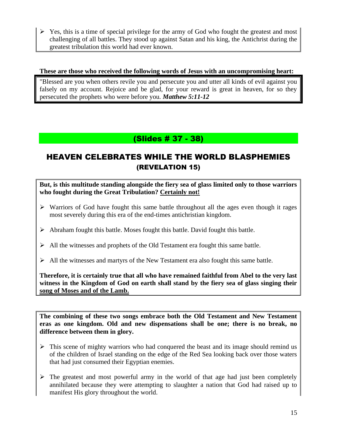$\triangleright$  Yes, this is a time of special privilege for the army of God who fought the greatest and most challenging of all battles. They stood up against Satan and his king, the Antichrist during the greatest tribulation this world had ever known.

#### **These are those who received the following words of Jesus with an uncompromising heart:**

"Blessed are you when others revile you and persecute you and utter all kinds of evil against you falsely on my account. Rejoice and be glad, for your reward is great in heaven, for so they persecuted the prophets who were before you*. Matthew 5:11-12*

## (Slides # 37 - 38)

## HEAVEN CELEBRATES WHILE THE WORLD BLASPHEMIES (REVELATION 15)

**But, is this multitude standing alongside the fiery sea of glass limited only to those warriors who fought during the Great Tribulation? Certainly not!** 

- $\triangleright$  Warriors of God have fought this same battle throughout all the ages even though it rages most severely during this era of the end-times antichristian kingdom.
- ➢ Abraham fought this battle. Moses fought this battle. David fought this battle.
- ➢ All the witnesses and prophets of the Old Testament era fought this same battle.
- ➢ All the witnesses and martyrs of the New Testament era also fought this same battle.

**Therefore, it is certainly true that all who have remained faithful from Abel to the very last witness in the Kingdom of God on earth shall stand by the fiery sea of glass singing their song of Moses and of the Lamb.** 

**The combining of these two songs embrace both the Old Testament and New Testament eras as one kingdom. Old and new dispensations shall be one; there is no break, no difference between them in glory.** 

- $\triangleright$  This scene of mighty warriors who had conquered the beast and its image should remind us of the children of Israel standing on the edge of the Red Sea looking back over those waters that had just consumed their Egyptian enemies.
- $\triangleright$  The greatest and most powerful army in the world of that age had just been completely annihilated because they were attempting to slaughter a nation that God had raised up to manifest His glory throughout the world.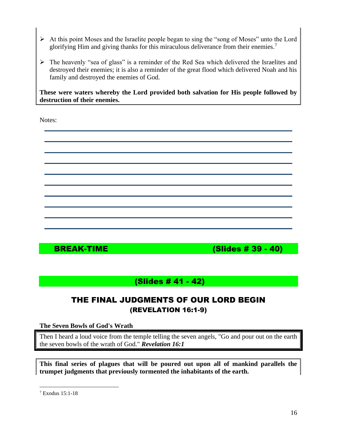- ➢ At this point Moses and the Israelite people began to sing the "song of Moses" unto the Lord glorifying Him and giving thanks for this miraculous deliverance from their enemies.<sup>7</sup>
- ➢ The heavenly "sea of glass" is a reminder of the Red Sea which delivered the Israelites and destroyed their enemies; it is also a reminder of the great flood which delivered Noah and his family and destroyed the enemies of God.

**These were waters whereby the Lord provided both salvation for His people followed by destruction of their enemies.** 

Notes:



BREAK-TIME (Slides # 39 - 40)

## (Slides # 41 - 42)

## THE FINAL JUDGMENTS OF OUR LORD BEGIN (REVELATION 16:1-9)

**The Seven Bowls of God's Wrath**

Then I heard a loud voice from the temple telling the seven angels, "Go and pour out on the earth  $\parallel$ the seven bowls of the wrath of God." *Revelation 16:1*

**This final series of plagues that will be poured out upon all of mankind parallels the trumpet judgments that previously tormented the inhabitants of the earth.** 

<sup>7</sup> Exodus 15:1-18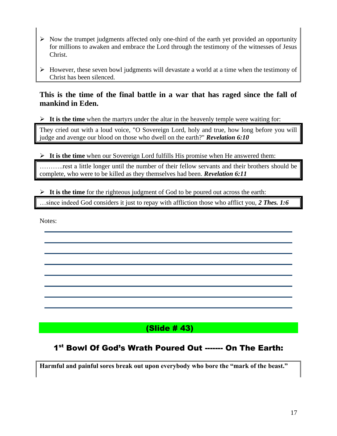- ➢ Now the trumpet judgments affected only one-third of the earth yet provided an opportunity for millions to awaken and embrace the Lord through the testimony of the witnesses of Jesus Christ.
- ➢ However, these seven bowl judgments will devastate a world at a time when the testimony of Christ has been silenced.

### **This is the time of the final battle in a war that has raged since the fall of mankind in Eden.**

➢ **It is the time** when the martyrs under the altar in the heavenly temple were waiting for:

They cried out with a loud voice, "O Sovereign Lord, holy and true, how long before you will judge and avenge our blood on those who dwell on the earth?" *Revelation 6:10*

➢ **It is the time** when our Sovereign Lord fulfills His promise when He answered them:

………..rest a little longer until the number of their fellow servants and their brothers should be complete, who were to be killed as they themselves had been. *Revelation 6:11*

➢ **It is the time** for the righteous judgment of God to be poured out across the earth:

…since indeed God considers it just to repay with affliction those who afflict you, *2 Thes. 1:6*

Notes:

## (Slide # 43)

### 1<sup>st</sup> Bowl Of God's Wrath Poured Out ------- On The Earth:

**Harmful and painful sores break out upon everybody who bore the "mark of the beast."**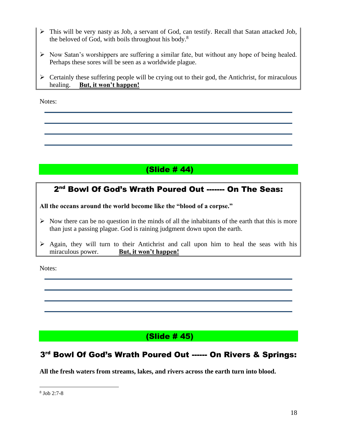- ➢ This will be very nasty as Job, a servant of God, can testify. Recall that Satan attacked Job, the beloved of God, with boils throughout his body.<sup>8</sup>
- ➢ Now Satan's worshippers are suffering a similar fate, but without any hope of being healed. Perhaps these sores will be seen as a worldwide plague.
- $\triangleright$  Certainly these suffering people will be crying out to their god, the Antichrist, for miraculous healing. **But, it won't happen!**

Notes:

## (Slide # 44)

### 2<sup>nd</sup> Bowl Of God's Wrath Poured Out ------- On The Seas:

**All the oceans around the world become like the "blood of a corpse."** 

- $\triangleright$  Now there can be no question in the minds of all the inhabitants of the earth that this is more than just a passing plague. God is raining judgment down upon the earth.
- $\triangleright$  Again, they will turn to their Antichrist and call upon him to heal the seas with his miraculous power. **But, it won't happen!**

Notes:

## (Slide # 45)

## 3<sup>rd</sup> Bowl Of God's Wrath Poured Out ------ On Rivers & Springs:

**All the fresh waters from streams, lakes, and rivers across the earth turn into blood.** 

<sup>8</sup> Job 2:7-8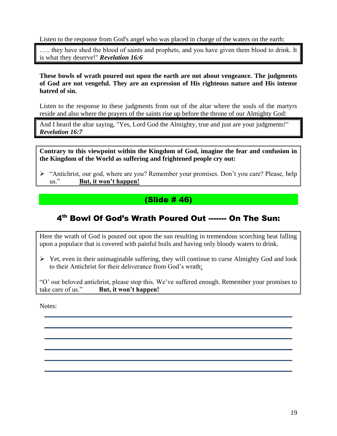Listen to the response from God's angel who was placed in charge of the waters on the earth:

….. they have shed the blood of saints and prophets, and you have given them blood to drink. It is what they deserve!" *Revelation 16:6*

**These bowls of wrath poured out upon the earth are not about vengeance. The judgments of God are not vengeful. They are an expression of His righteous nature and His intense hatred of sin.** 

Listen to the response to these judgments from out of the altar where the souls of the martyrs reside and also where the prayers of the saints rise up before the throne of our Almighty God:

And I heard the altar saying, "Yes, Lord God the Almighty, true and just are your judgments!" *Revelation 16:7*

**Contrary to this viewpoint within the Kingdom of God, imagine the fear and confusion in the Kingdom of the World as suffering and frightened people cry out:**

➢ "Antichrist, our god, where are you? Remember your promises. Don't you care? Please, help us." **But, it won't happen!**

## (Slide # 46)

## 4 th Bowl Of God's Wrath Poured Out ------- On The Sun:

Here the wrath of God is poured out upon the sun resulting in tremendous scorching heat falling upon a populace that is covered with painful boils and having only bloody waters to drink.

 $\triangleright$  Yet, even in their unimaginable suffering, they will continue to curse Almighty God and look to their Antichrist for their deliverance from God's wrath:

"O' our beloved antichrist, please stop this. We've suffered enough. Remember your promises to take care of us." **But, it won't happen!**

Notes: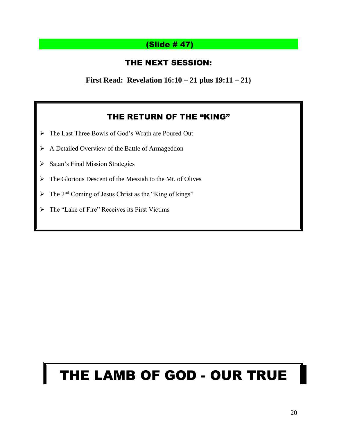## (Slide # 47)

## THE NEXT SESSION:

**First Read: Revelation 16:10 – 21 plus 19:11 – 21)**

## THE RETURN OF THE "KING"

- ➢ The Last Three Bowls of God's Wrath are Poured Out
- ➢ A Detailed Overview of the Battle of Armageddon
- ➢ Satan's Final Mission Strategies
- ➢ The Glorious Descent of the Messiah to the Mt. of Olives
- $\triangleright$  The 2<sup>nd</sup> Coming of Jesus Christ as the "King of kings"
- ➢ The "Lake of Fire" Receives its First Victims

## THE LAMB OF GOD - OUR TRUE